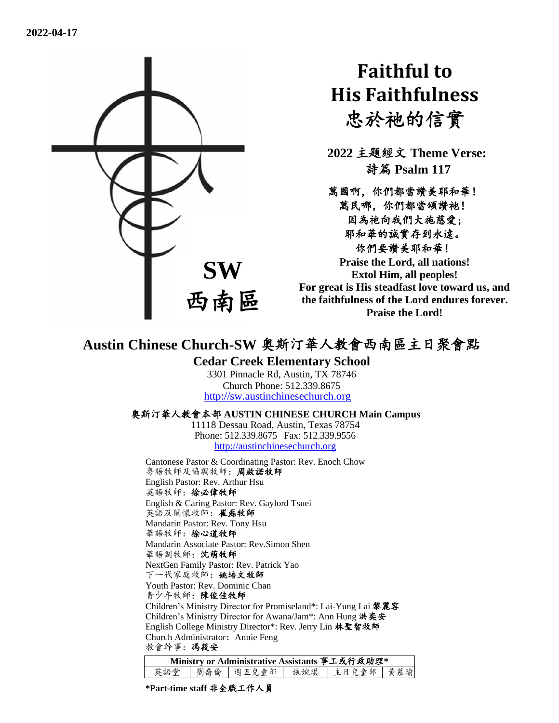

# **Faithful to His Faithfulness** 忠於祂的信實

**2022** 主題經文 **Theme Verse:** 詩篇 **Psalm 117**

萬國啊,你們都當讚美耶和華! 萬民哪,你們都當頌讚祂! 因為祂向我們大施慈愛; 耶和華的誠實存到永遠。 你們要讚美耶和華! **Praise the Lord, all nations!** 

**Extol Him, all peoples! For great is His steadfast love toward us, and the faithfulness of the Lord endures forever. Praise the Lord!**

## **Austin Chinese Church-SW** 奧斯汀華人教會西南區主日聚會點

#### **Cedar Creek Elementary School**

3301 Pinnacle Rd, Austin, TX 78746 Church Phone: 512.339.8675 [http://sw.austinchinesechurch.org](http://sw.austinchinesechurch.org/)

#### 奧斯汀華人教會本部 **AUSTIN CHINESE CHURCH Main Campus**

11118 Dessau Road, Austin, Texas 78754 Phone: 512.339.8675 Fax: 512.339.9556 [http://austinchinesechurch.org](http://austinchinesechurch.org/)

Cantonese Pastor & Coordinating Pastor: Rev. Enoch Chow 粵語牧師及協調牧師:周啟諾牧師 English Pastor: Rev. Arthur Hsu 英語牧師:徐必偉牧師 English & Caring Pastor: Rev. Gaylord Tsuei 英語及關懷牧師:崔磊牧師 Mandarin Pastor: Rev. Tony Hsu 華語牧師:徐心道牧師 Mandarin Associate Pastor: Rev.Simon Shen 華語副牧師:沈萌牧師 NextGen Family Pastor: Rev. Patrick Yao 下一代家庭牧師:姚培文牧師 Youth Pastor: Rev. Dominic Chan 青少年牧師:陳俊佳牧師 Children's Ministry Director for Promiseland\*: Lai-Yung Lai 黎麗容 Children's Ministry Director for Awana/Jam\*: Ann Hung 洪奕安 English College Ministry Director\*: Rev. Jerry Lin 林聖智牧師 Church Administrator: Annie Feng 教會幹事:馮筱安

| Ministry or Administrative Assistants 事工或行政助理* |  |  |  |                                 |  |  |  |  |
|------------------------------------------------|--|--|--|---------------------------------|--|--|--|--|
| 英語堂                                            |  |  |  | 劉喬倫   週五兒童部   施婉琪   主日兒童部   黄慕瑜 |  |  |  |  |

**\*Part-time staff** 非全職工作人員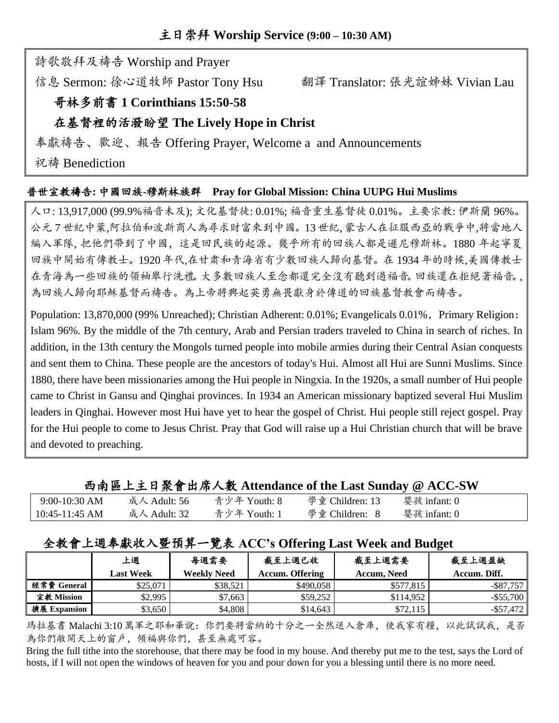詩歌敬拜及禱告 Worship and Prayer

信息 Sermon: 徐心道牧師 Pastor Tony Hsu 翻譯 Translator: 張光誼姊妹 Vivian Lau

## 哥林多前書 **1 Corinthians 15:50-58**

## 在基督裡的活潑盼望 **The Lively Hope in Christ**

奉獻禱告、歡迎、報告 Offering Prayer, Welcome a and Announcements

祝禱 Benediction

#### 普世宣教禱告**:** 中國回族**-**穆斯林族群 **Pray for Global Mission: China UUPG Hui Muslims**

人口: 13,917,000 (99.9%福音未及); 文化基督徒: 0.01%; 福音重生基督徒 0.01%。主要宗教: 伊斯蘭 96%。 公元 7 世紀中葉,阿拉伯和波斯商人為尋求財富來到中國。13 世紀, 蒙古人在征服西亞的戰爭中,將當地人 編入軍隊, 把他們帶到了中國,這是回民族的起源。幾乎所有的回族人都是遜尼穆斯林。1880 年起寧夏 回族中開始有傳教士。1920 年代,在甘肃和青海省有少數回族人歸向基督。在 1934 年的時候,美國傳教士 在青海為一些回族的領袖舉行洗禮。大多數回族人至念都還完全沒有聽到過福音。回族還在拒絕著福音。, 為回族人歸向耶穌基督而禱告。為上帝將興起英勇無畏獻身於傳道的回族基督教會而禱告。

Population: 13,870,000 (99% Unreached); Christian Adherent: 0.01%; Evangelicals 0.01%, Primary Religion: Islam 96%. By the middle of the 7th century, Arab and Persian traders traveled to China in search of riches. In addition, in the 13th century the Mongols turned people into mobile armies during their Central Asian conquests and sent them to China. These people are the ancestors of today's Hui. Almost all Hui are Sunni Muslims. Since 1880, there have been missionaries among the Hui people in Ningxia. In the 1920s, a small number of Hui people came to Christ in Gansu and Qinghai provinces. In 1934 an American missionary baptized several Hui Muslim leaders in Qinghai. However most Hui have yet to hear the gospel of Christ. Hui people still reject gospel. Pray for the Hui people to come to Jesus Christ. Pray that God will raise up a Hui Christian church that will be brave and devoted to preaching.

#### 西南區上主日聚會出席人數 **Attendance of the Last Sunday @ ACC-SW**

| $9:00-10:30$ AM | 成人 Adult: 56 | 青少年 Youth: 8 | 學童 Children: 13 | 婴孩 infant: 0 |  |
|-----------------|--------------|--------------|-----------------|--------------|--|
| 10:45-11:45 AM  | 成人 Adult: 32 | 青少年 Youth: 1 | 學童 Children: 8  | 婴孩 infant: 0 |  |

## 全教會上週奉獻收入暨預算一覽表 **ACC's Offering Last Week and Budget**

|              | 上週               | 每週需要               | 截至上週已收                 | 截至上週需要      | 截至上週盈缺       |
|--------------|------------------|--------------------|------------------------|-------------|--------------|
|              | <b>Last Week</b> | <b>Weekly Need</b> | <b>Accum. Offering</b> | Accum, Need | Accum. Diff. |
| 經常費 General  | \$25,071         | \$38.521           | \$490,058              | \$577.815   | -\$87.757    |
| 宣教 Mission   | \$2,995          | \$7.663            | \$59.252               | \$114,952   | $-$ \$55,700 |
| 擴展 Expansion | \$3.650          | \$4.808            | \$14,643               | \$72,115    | $-$ \$57.472 |

瑪拉基書 Malachi 3:10 萬軍之耶和華說:你們要將當納的十分之一全然送入倉庫,使我家有糧,以此試試我,是否 為你們敞開天上的窗戶,傾福與你們,甚至無處可容。

Bring the full tithe into the storehouse, that there may be food in my house. And thereby put me to the test, says the Lord of hosts, if I will not open the windows of heaven for you and pour down for you a blessing until there is no more need.